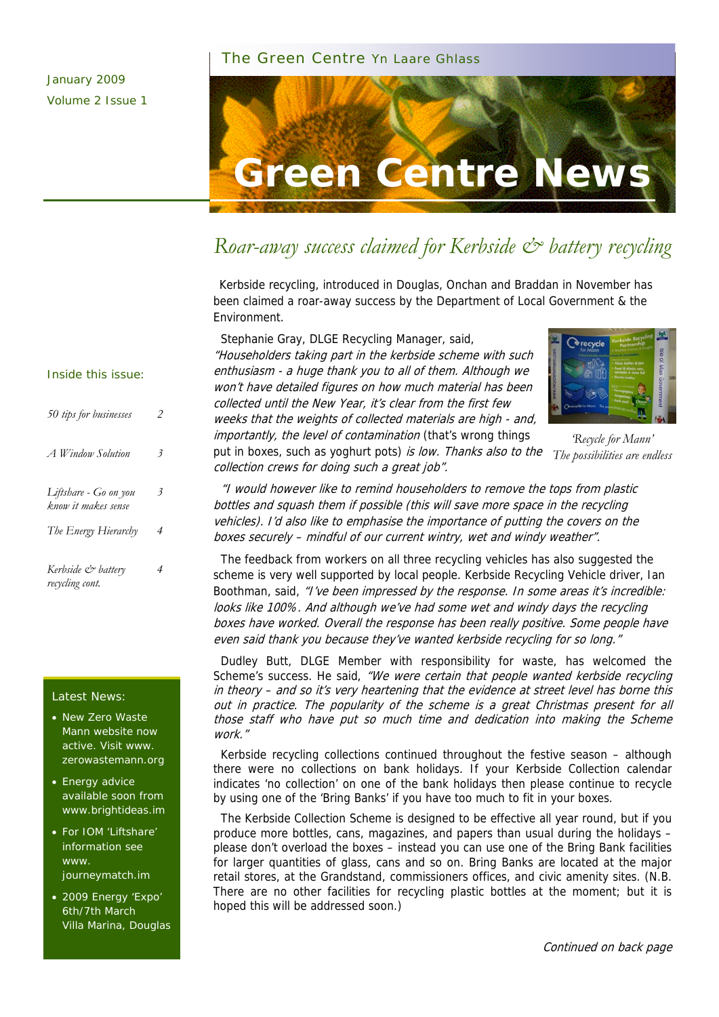#### The Green Centre Yn Laare Ghlass



## *Roar-away success claimed for Kerbside & battery recycling*

Kerbside recycling, introduced in Douglas, Onchan and Braddan in November has been claimed a roar-away success by the Department of Local Government & the Environment.

 Stephanie Gray, DLGE Recycling Manager, said, "Householders taking part in the kerbside scheme with such enthusiasm - a huge thank you to all of them. Although we won't have detailed figures on how much material has been collected until the New Year, it's clear from the first few weeks that the weights of collected materials are high - and, importantly, the level of contamination (that's wrong things



*'Recycle for Mann'* 

put in boxes, such as yoghurt pots) is low. Thanks also to the *The possibilities are endless*  collection crews for doing such a great job".

 "I would however like to remind householders to remove the tops from plastic bottles and squash them if possible (this will save more space in the recycling vehicles). I'd also like to emphasise the importance of putting the covers on the boxes securely – mindful of our current wintry, wet and windy weather".

 The feedback from workers on all three recycling vehicles has also suggested the scheme is very well supported by local people. Kerbside Recycling Vehicle driver, Ian Boothman, said, "I've been impressed by the response. In some areas it's incredible: looks like 100%. And although we've had some wet and windy days the recycling boxes have worked. Overall the response has been really positive. Some people have even said thank you because they've wanted kerbside recycling for so long."

 Dudley Butt, DLGE Member with responsibility for waste, has welcomed the Scheme's success. He said, "We were certain that people wanted kerbside recycling in theory – and so it's very heartening that the evidence at street level has borne this out in practice. The popularity of the scheme is a great Christmas present for all those staff who have put so much time and dedication into making the Scheme work."

 Kerbside recycling collections continued throughout the festive season – although there were no collections on bank holidays. If your Kerbside Collection calendar indicates 'no collection' on one of the bank holidays then please continue to recycle by using one of the 'Bring Banks' if you have too much to fit in your boxes.

 The Kerbside Collection Scheme is designed to be effective all year round, but if you produce more bottles, cans, magazines, and papers than usual during the holidays – please don't overload the boxes – instead you can use one of the Bring Bank facilities for larger quantities of glass, cans and so on. Bring Banks are located at the major retail stores, at the Grandstand, commissioners offices, and civic amenity sites. (N.B. There are no other facilities for recycling plastic bottles at the moment; but it is hoped this will be addressed soon.)

#### Inside this issue:

| 50 tips for businesses                       | 2 |
|----------------------------------------------|---|
| A Window Solution                            | 3 |
| Liftshare - Go on you<br>know it makes sense | 3 |
| The Energy Hierarchy                         | 4 |
| Kerbside & battery<br>recycling cont.        | 4 |

#### Latest News:

- New Zero Waste Mann website now active. Visit www. zerowastemann.org
- Energy advice available soon from www.brightideas.im
- For IOM 'Liftshare' information see www. journeymatch.im
- 2009 Energy 'Expo' 6th/7th March Villa Marina, Douglas

Continued on back page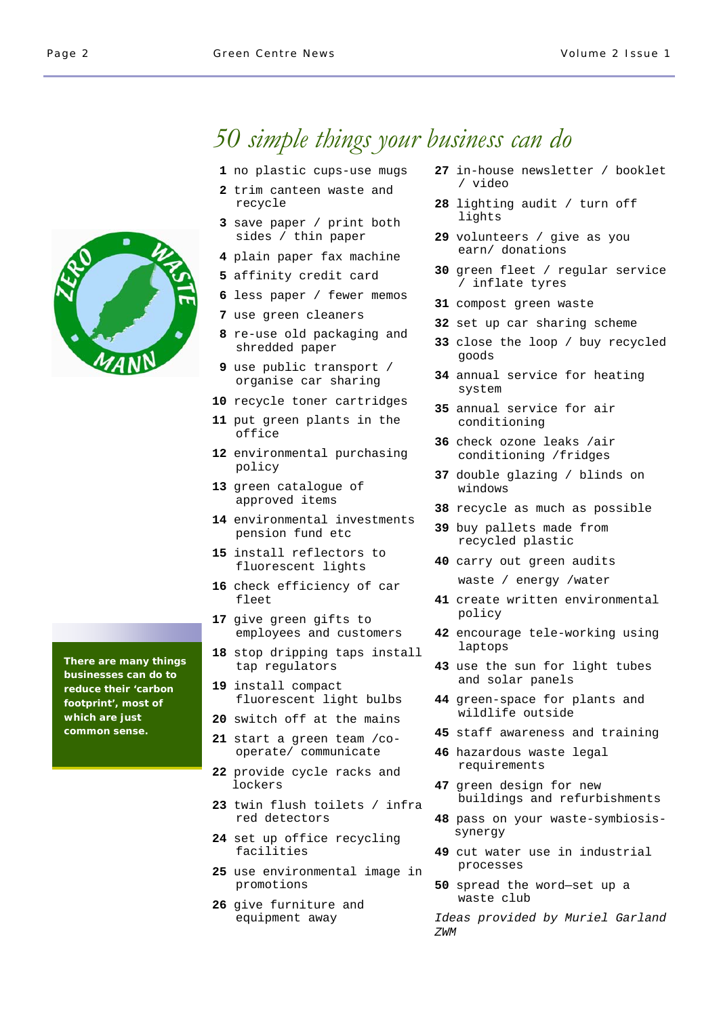# *50 simple things your business can do*

- **1** no plastic cups-use mugs
- **2** trim canteen waste and recycle
- **3** save paper / print both sides / thin paper
- **4** plain paper fax machine
- **5** affinity credit card
- **6** less paper / fewer memos
- **7** use green cleaners
- **8** re-use old packaging and shredded paper
- **9** use public transport / organise car sharing
- **10** recycle toner cartridges
- **11** put green plants in the office
- **12** environmental purchasing policy
- **13** green catalogue of approved items
- **14** environmental investments pension fund etc
- **15** install reflectors to fluorescent lights
- **16** check efficiency of car fleet
- **17** give green gifts to employees and customers
- **18** stop dripping taps install tap regulators
- **19** install compact fluorescent light bulbs
- **20** switch off at the mains
- **21** start a green team /cooperate/ communicate
- **22** provide cycle racks and lockers
- **23** twin flush toilets / infra red detectors
- **24** set up office recycling facilities
- **25** use environmental image in promotions
- **26** give furniture and equipment away
- **27** in-house newsletter / booklet / video
- **28** lighting audit / turn off lights
- **29** volunteers / give as you earn/ donations
- **30** green fleet / regular service / inflate tyres
- **31** compost green waste
- **32** set up car sharing scheme
- **33** close the loop / buy recycled goods
- **34** annual service for heating system
- **35** annual service for air conditioning
- **36** check ozone leaks /air conditioning /fridges
- **37** double glazing / blinds on windows
- **38** recycle as much as possible
- **39** buy pallets made from recycled plastic
- **40** carry out green audits waste / energy /water
- **41** create written environmental policy
- **42** encourage tele-working using laptops
- **43** use the sun for light tubes and solar panels
- **44** green-space for plants and wildlife outside
- **45** staff awareness and training
- **46** hazardous waste legal requirements
- **47** green design for new buildings and refurbishments
- **48** pass on your waste-symbiosissynergy
- **49** cut water use in industrial processes
- **50** spread the word—set up a waste club

*Ideas provided by Muriel Garland ZWM* 

**There are many things businesses can do to reduce their 'carbon footprint', most of which are just common sense.**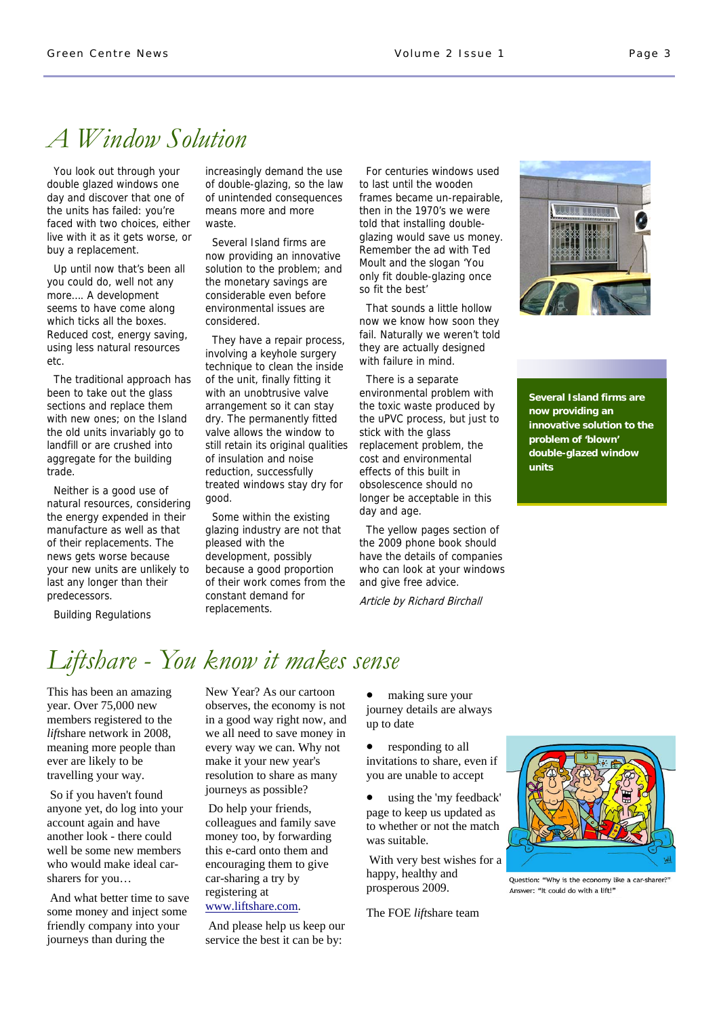# *A Window Solution*

 You look out through your double glazed windows one day and discover that one of the units has failed: you're faced with two choices, either live with it as it gets worse, or buy a replacement.

 Up until now that's been all you could do, well not any more…. A development seems to have come along which ticks all the boxes. Reduced cost, energy saving, using less natural resources etc.

 The traditional approach has been to take out the glass sections and replace them with new ones; on the Island the old units invariably go to landfill or are crushed into aggregate for the building trade.

 Neither is a good use of natural resources, considering the energy expended in their manufacture as well as that of their replacements. The news gets worse because your new units are unlikely to last any longer than their predecessors.

increasingly demand the use of double-glazing, so the law of unintended consequences means more and more waste.

 Several Island firms are now providing an innovative solution to the problem; and the monetary savings are considerable even before environmental issues are considered.

 They have a repair process, involving a keyhole surgery technique to clean the inside of the unit, finally fitting it with an unobtrusive valve arrangement so it can stay dry. The permanently fitted valve allows the window to still retain its original qualities of insulation and noise reduction, successfully treated windows stay dry for good.

 Some within the existing glazing industry are not that pleased with the development, possibly because a good proportion of their work comes from the constant demand for replacements.

 For centuries windows used to last until the wooden frames became un-repairable, then in the 1970's we were told that installing doubleglazing would save us money. Remember the ad with Ted Moult and the slogan 'You only fit double-glazing once so fit the best'

 That sounds a little hollow now we know how soon they fail. Naturally we weren't told they are actually designed with failure in mind.

 There is a separate environmental problem with the toxic waste produced by the uPVC process, but just to stick with the glass replacement problem, the cost and environmental effects of this built in obsolescence should no longer be acceptable in this day and age.

 The yellow pages section of the 2009 phone book should have the details of companies who can look at your windows and give free advice.

Article by Richard Birchall



**Several Island firms are now providing an innovative solution to the problem of 'blown' double-glazed window units**

Building Regulations

# *Liftshare - You know it makes sense*

This has been an amazing year. Over 75,000 new members registered to the *lift*share network in 2008, meaning more people than ever are likely to be travelling your way.

 So if you haven't found anyone yet, do log into your account again and have another look - there could well be some new members who would make ideal carsharers for you…

 And what better time to save some money and inject some friendly company into your journeys than during the

New Year? As our cartoon observes, the economy is not in a good way right now, and we all need to save money in every way we can. Why not make it your new year's resolution to share as many journeys as possible?

 Do help your friends, colleagues and family save money too, by forwarding this e-card onto them and encouraging them to give car-sharing a try by registering at [www.liftshare.com](http://www.liftshare.com).

 And please help us keep our service the best it can be by:

• making sure your journey details are always up to date

• responding to all invitations to share, even if you are unable to accept

• using the 'my feedback' page to keep us updated as to whether or not the match was suitable.

 With very best wishes for a happy, healthy and prosperous 2009.

The FOE *lift*share team



Ouestion: "Why is the economy like a car-sharer?" Answer: "It could do with a lift!"